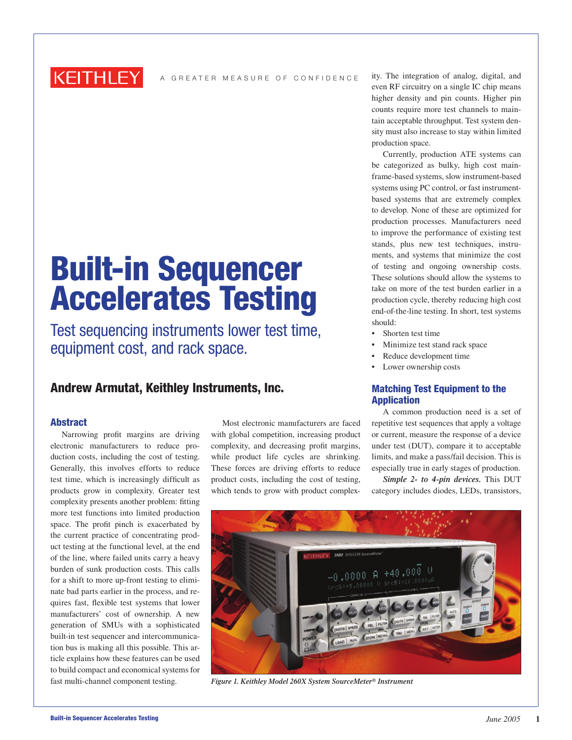

A GREATER MEASURE OF CONFIDENCE

# Built-in Sequencer Accelerates Testing

Test sequencing instruments lower test time, equipment cost, and rack space.

# Andrew Armutat, Keithley Instruments, Inc.

# Abstract

Narrowing profit margins are driving electronic manufacturers to reduce production costs, including the cost of testing. Generally, this involves efforts to reduce test time, which is increasingly difficult as products grow in complexity. Greater test complexity presents another problem: fitting more test functions into limited production space. The profit pinch is exacerbated by the current practice of concentrating product testing at the functional level, at the end of the line, where failed units carry a heavy burden of sunk production costs. This calls for a shift to more up-front testing to eliminate bad parts earlier in the process, and requires fast, flexible test systems that lower manufacturers' cost of ownership. A new generation of SMUs with a sophisticated built-in test sequencer and intercommunication bus is making all this possible. This article explains how these features can be used to build compact and economical systems for fast multi-channel component testing.

Most electronic manufacturers are faced with global competition, increasing product complexity, and decreasing profit margins, while product life cycles are shrinking. These forces are driving efforts to reduce product costs, including the cost of testing, which tends to grow with product complexity. The integration of analog, digital, and even RF circuitry on a single IC chip means higher density and pin counts. Higher pin counts require more test channels to maintain acceptable throughput. Test system density must also increase to stay within limited production space.

Currently, production ATE systems can be categorized as bulky, high cost mainframe-based systems, slow instrument-based systems using PC control, or fast instrumentbased systems that are extremely complex to develop. None of these are optimized for production processes. Manufacturers need to improve the performance of existing test stands, plus new test techniques, instruments, and systems that minimize the cost of testing and ongoing ownership costs. These solutions should allow the systems to take on more of the test burden earlier in a production cycle, thereby reducing high cost end-of-the-line testing. In short, test systems should:

- Shorten test time
- Minimize test stand rack space
- Reduce development time
- Lower ownership costs

# Matching Test Equipment to the Application

A common production need is a set of repetitive test sequences that apply a voltage or current, measure the response of a device under test (DUT), compare it to acceptable limits, and make a pass/fail decision. This is especially true in early stages of production.

*Simple 2- to 4-pin devices.* This DUT category includes diodes, LEDs, transistors,



*Figure 1. Keithley Model 260X System SourceMeter® Instrument*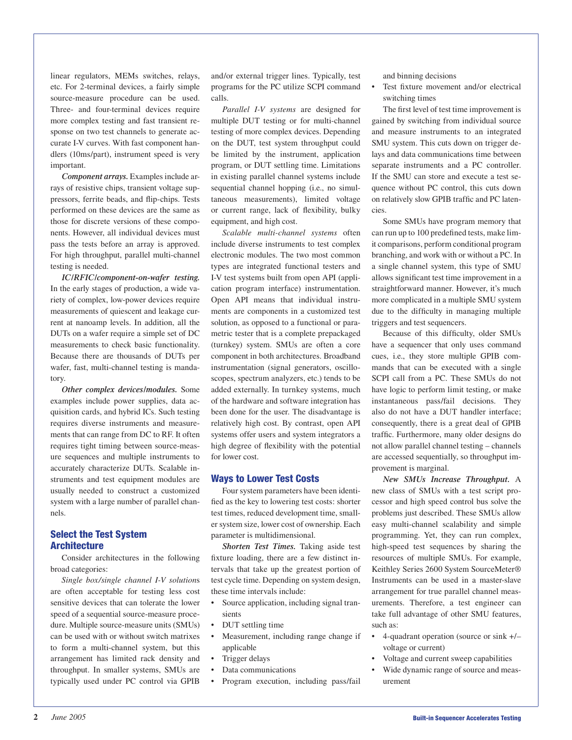linear regulators, MEMs switches, relays, etc. For 2-terminal devices, a fairly simple source-measure procedure can be used. Three- and four-terminal devices require more complex testing and fast transient response on two test channels to generate accurate I-V curves. With fast component handlers (10ms/part), instrument speed is very important.

*Component arrays.* Examples include arrays of resistive chips, transient voltage suppressors, ferrite beads, and flip-chips. Tests performed on these devices are the same as those for discrete versions of these components. However, all individual devices must pass the tests before an array is approved. For high throughput, parallel multi-channel testing is needed.

*IC/RFIC/component-on-wafer testing.* In the early stages of production, a wide variety of complex, low-power devices require measurements of quiescent and leakage current at nanoamp levels. In addition, all the DUTs on a wafer require a simple set of DC measurements to check basic functionality. Because there are thousands of DUTs per wafer, fast, multi-channel testing is mandatory.

*Other complex devices/modules.* Some examples include power supplies, data acquisition cards, and hybrid ICs. Such testing requires diverse instruments and measurements that can range from DC to RF. It often requires tight timing between source-measure sequences and multiple instruments to accurately characterize DUTs. Scalable instruments and test equipment modules are usually needed to construct a customized system with a large number of parallel channels.

# Select the Test System **Architecture**

Consider architectures in the following broad categories:

*Single box/single channel I-V solution*s are often acceptable for testing less cost sensitive devices that can tolerate the lower speed of a sequential source-measure procedure. Multiple source-measure units (SMUs) can be used with or without switch matrixes to form a multi-channel system, but this arrangement has limited rack density and throughput. In smaller systems, SMUs are typically used under PC control via GPIB

and/or external trigger lines. Typically, test programs for the PC utilize SCPI command calls.

*Parallel I-V systems* are designed for multiple DUT testing or for multi-channel testing of more complex devices. Depending on the DUT, test system throughput could be limited by the instrument, application program, or DUT settling time. Limitations in existing parallel channel systems include sequential channel hopping (i.e., no simultaneous measurements), limited voltage or current range, lack of flexibility, bulky equipment, and high cost.

*Scalable multi-channel systems* often include diverse instruments to test complex electronic modules. The two most common types are integrated functional testers and I-V test systems built from open API (application program interface) instrumentation. Open API means that individual instruments are components in a customized test solution, as opposed to a functional or parametric tester that is a complete prepackaged (turnkey) system. SMUs are often a core component in both architectures. Broadband instrumentation (signal generators, oscilloscopes, spectrum analyzers, etc.) tends to be added externally. In turnkey systems, much of the hardware and software integration has been done for the user. The disadvantage is relatively high cost. By contrast, open API systems offer users and system integrators a high degree of flexibility with the potential for lower cost.

#### Ways to Lower Test Costs

Four system parameters have been identified as the key to lowering test costs: shorter test times, reduced development time, smaller system size, lower cost of ownership. Each parameter is multidimensional.

*Shorten Test Times.* Taking aside test fixture loading, there are a few distinct intervals that take up the greatest portion of test cycle time. Depending on system design, these time intervals include:

- Source application, including signal transients
- DUT settling time
- Measurement, including range change if applicable
- Trigger delays
- Data communications
- Program execution, including pass/fail

and binning decisions

Test fixture movement and/or electrical switching times

The first level of test time improvement is gained by switching from individual source and measure instruments to an integrated SMU system. This cuts down on trigger delays and data communications time between separate instruments and a PC controller. If the SMU can store and execute a test sequence without PC control, this cuts down on relatively slow GPIB traffic and PC latencies.

Some SMUs have program memory that can run up to 100 predefined tests, make limit comparisons, perform conditional program branching, and work with or without a PC. In a single channel system, this type of SMU allows significant test time improvement in a straightforward manner. However, it's much more complicated in a multiple SMU system due to the difficulty in managing multiple triggers and test sequencers.

Because of this difficulty, older SMUs have a sequencer that only uses command cues, i.e., they store multiple GPIB commands that can be executed with a single SCPI call from a PC. These SMUs do not have logic to perform limit testing, or make instantaneous pass/fail decisions. They also do not have a DUT handler interface; consequently, there is a great deal of GPIB traffic. Furthermore, many older designs do not allow parallel channel testing – channels are accessed sequentially, so throughput improvement is marginal.

*New SMUs Increase Throughput.* A new class of SMUs with a test script processor and high speed control bus solve the problems just described. These SMUs allow easy multi-channel scalability and simple programming. Yet, they can run complex, high-speed test sequences by sharing the resources of multiple SMUs. For example, Keithley Series 2600 System SourceMeter® Instruments can be used in a master-slave arrangement for true parallel channel measurements. Therefore, a test engineer can take full advantage of other SMU features, such as:

- 4-quadrant operation (source or sink +/– voltage or current)
- Voltage and current sweep capabilities
- Wide dynamic range of source and measurement